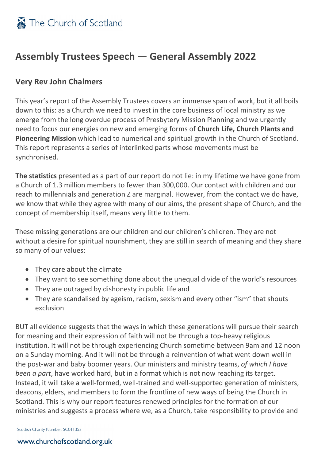### **Assembly Trustees Speech — General Assembly 2022**

### **Very Rev John Chalmers**

This year's report of the Assembly Trustees covers an immense span of work, but it all boils down to this: as a Church we need to invest in the core business of local ministry as we emerge from the long overdue process of Presbytery Mission Planning and we urgently need to focus our energies on new and emerging forms of **Church Life, Church Plants and Pioneering Mission** which lead to numerical and spiritual growth in the Church of Scotland. This report represents a series of interlinked parts whose movements must be synchronised.

**The statistics** presented as a part of our report do not lie: in my lifetime we have gone from a Church of 1.3 million members to fewer than 300,000. Our contact with children and our reach to millennials and generation Z are marginal. However, from the contact we do have, we know that while they agree with many of our aims, the present shape of Church, and the concept of membership itself, means very little to them.

These missing generations are our children and our children's children. They are not without a desire for spiritual nourishment, they are still in search of meaning and they share so many of our values:

- They care about the climate
- They want to see something done about the unequal divide of the world's resources
- They are outraged by dishonesty in public life and
- They are scandalised by ageism, racism, sexism and every other "ism" that shouts exclusion

BUT all evidence suggests that the ways in which these generations will pursue their search for meaning and their expression of faith will not be through a top-heavy religious institution. It will not be through experiencing Church sometime between 9am and 12 noon on a Sunday morning. And it will not be through a reinvention of what went down well in the post-war and baby boomer years. Our ministers and ministry teams, *of which I have been a part*, have worked hard, but in a format which is not now reaching its target. Instead, it will take a well-formed, well-trained and well-supported generation of ministers, deacons, elders, and members to form the frontline of new ways of being the Church in Scotland. This is why our report features renewed principles for the formation of our ministries and suggests a process where we, as a Church, take responsibility to provide and

Scottish Charity Number: SC011353

#### www.churchofscotland.org.uk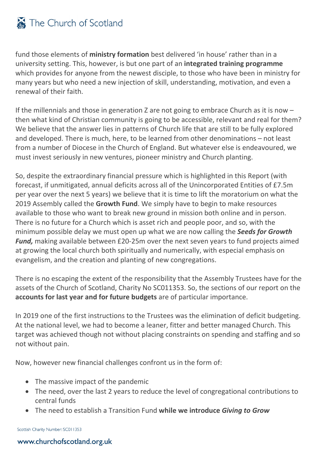# The Church of Scotland

fund those elements of **ministry formation** best delivered 'in house' rather than in a university setting. This, however, is but one part of an **integrated training programme** which provides for anyone from the newest disciple, to those who have been in ministry for many years but who need a new injection of skill, understanding, motivation, and even a renewal of their faith.

If the millennials and those in generation Z are not going to embrace Church as it is now – then what kind of Christian community is going to be accessible, relevant and real for them? We believe that the answer lies in patterns of Church life that are still to be fully explored and developed. There is much, here, to be learned from other denominations – not least from a number of Diocese in the Church of England. But whatever else is endeavoured, we must invest seriously in new ventures, pioneer ministry and Church planting.

So, despite the extraordinary financial pressure which is highlighted in this Report (with forecast, if unmitigated, annual deficits across all of the Unincorporated Entities of £7.5m per year over the next 5 years) we believe that it is time to lift the moratorium on what the 2019 Assembly called the **Growth Fund**. We simply have to begin to make resources available to those who want to break new ground in mission both online and in person. There is no future for a Church which is asset rich and people poor, and so, with the minimum possible delay we must open up what we are now calling the *Seeds for Growth Fund,* making available between £20-25m over the next seven years to fund projects aimed at growing the local church both spiritually and numerically, with especial emphasis on evangelism, and the creation and planting of new congregations.

There is no escaping the extent of the responsibility that the Assembly Trustees have for the assets of the Church of Scotland, Charity No SC011353. So, the sections of our report on the **accounts for last year and for future budgets** are of particular importance.

In 2019 one of the first instructions to the Trustees was the elimination of deficit budgeting. At the national level, we had to become a leaner, fitter and better managed Church. This target was achieved though not without placing constraints on spending and staffing and so not without pain.

Now, however new financial challenges confront us in the form of:

- The massive impact of the pandemic
- The need, over the last 2 years to reduce the level of congregational contributions to central funds
- The need to establish a Transition Fund **while we introduce** *Giving to Grow*

Scottish Charity Number: SC011353

#### www.churchofscotland.org.uk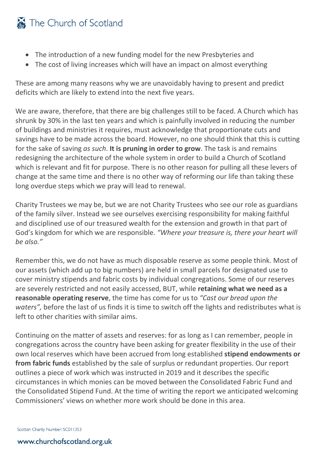# The Church of Scotland

- The introduction of a new funding model for the new Presbyteries and
- The cost of living increases which will have an impact on almost everything

These are among many reasons why we are unavoidably having to present and predict deficits which are likely to extend into the next five years.

We are aware, therefore, that there are big challenges still to be faced. A Church which has shrunk by 30% in the last ten years and which is painfully involved in reducing the number of buildings and ministries it requires, must acknowledge that proportionate cuts and savings have to be made across the board. However, no one should think that this is cutting for the sake of saving *as such*. **It is pruning in order to grow**. The task is and remains redesigning the architecture of the whole system in order to build a Church of Scotland which is relevant and fit for purpose. There is no other reason for pulling all these levers of change at the same time and there is no other way of reforming our life than taking these long overdue steps which we pray will lead to renewal.

Charity Trustees we may be, but we are not Charity Trustees who see our role as guardians of the family silver. Instead we see ourselves exercising responsibility for making faithful and disciplined use of our treasured wealth for the extension and growth in that part of God's kingdom for which we are responsible. *"Where your treasure is, there your heart will be also."*

Remember this, we do not have as much disposable reserve as some people think. Most of our assets (which add up to big numbers) are held in small parcels for designated use to cover ministry stipends and fabric costs by individual congregations. Some of our reserves are severely restricted and not easily accessed, BUT, while **retaining what we need as a reasonable operating reserve**, the time has come for us to *"Cast our bread upon the waters",* before the last of us finds it is time to switch off the lights and redistributes what is left to other charities with similar aims.

Continuing on the matter of assets and reserves: for as long as I can remember, people in congregations across the country have been asking for greater flexibility in the use of their own local reserves which have been accrued from long established **stipend endowments or from fabric funds** established by the sale of surplus or redundant properties. Our report outlines a piece of work which was instructed in 2019 and it describes the specific circumstances in which monies can be moved between the Consolidated Fabric Fund and the Consolidated Stipend Fund. At the time of writing the report we anticipated welcoming Commissioners' views on whether more work should be done in this area.

Scottish Charity Number: SC011353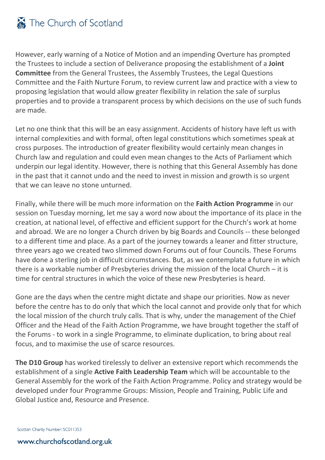However, early warning of a Notice of Motion and an impending Overture has prompted the Trustees to include a section of Deliverance proposing the establishment of a **Joint Committee** from the General Trustees, the Assembly Trustees, the Legal Questions Committee and the Faith Nurture Forum, to review current law and practice with a view to proposing legislation that would allow greater flexibility in relation the sale of surplus properties and to provide a transparent process by which decisions on the use of such funds are made.

Let no one think that this will be an easy assignment. Accidents of history have left us with internal complexities and with formal, often legal constitutions which sometimes speak at cross purposes. The introduction of greater flexibility would certainly mean changes in Church law and regulation and could even mean changes to the Acts of Parliament which underpin our legal identity. However, there is nothing that this General Assembly has done in the past that it cannot undo and the need to invest in mission and growth is so urgent that we can leave no stone unturned.

Finally, while there will be much more information on the **Faith Action Programme** in our session on Tuesday morning, let me say a word now about the importance of its place in the creation, at national level, of effective and efficient support for the Church's work at home and abroad. We are no longer a Church driven by big Boards and Councils -- these belonged to a different time and place. As a part of the journey towards a leaner and fitter structure, three years ago we created two slimmed down Forums out of four Councils. These Forums have done a sterling job in difficult circumstances. But, as we contemplate a future in which there is a workable number of Presbyteries driving the mission of the local Church – it is time for central structures in which the voice of these new Presbyteries is heard.

Gone are the days when the centre might dictate and shape our priorities. Now as never before the centre has to do only that which the local cannot and provide only that for which the local mission of the church truly calls. That is why, under the management of the Chief Officer and the Head of the Faith Action Programme, we have brought together the staff of the Forums - to work in a single Programme, to eliminate duplication, to bring about real focus, and to maximise the use of scarce resources.

**The D10 Group** has worked tirelessly to deliver an extensive report which recommends the establishment of a single **Active Faith Leadership Team** which will be accountable to the General Assembly for the work of the Faith Action Programme. Policy and strategy would be developed under four Programme Groups: Mission, People and Training, Public Life and Global Justice and, Resource and Presence.

Scottish Charity Number: SC011353